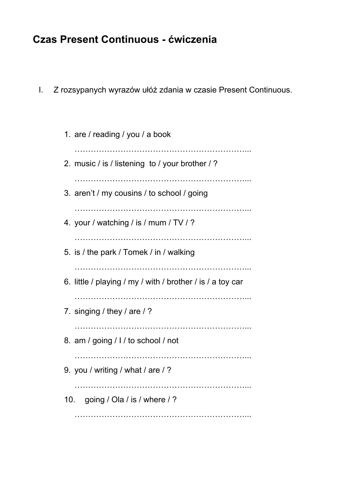## **Czas Present Continuous - ćwiczenia**

- I. Z rozsypanych wyrazów ułóż zdania w czasie Present Continuous.
	- 1. are / reading / you / a book ………………………………………………………... 2. music / is / listening to / your brother / ? ………………………………………………………... 3. aren't / my cousins / to school / going ………………………………………………………... 4. your / watching / is / mum / TV / ? ………………………………………………………... 5. is / the park / Tomek / in / walking ……………………………………………………………………… 6. little / playing / my / with / brother / is / a toy car …………………………………………………………………… 7. singing / they / are / ? ………………………………………………………... 8. am / going / I / to school / not ………………………………………………………... 9. you / writing / what / are / ? ……………………………………………………………………… 10. going / Ola / is / where / ? ………………………………………………………………………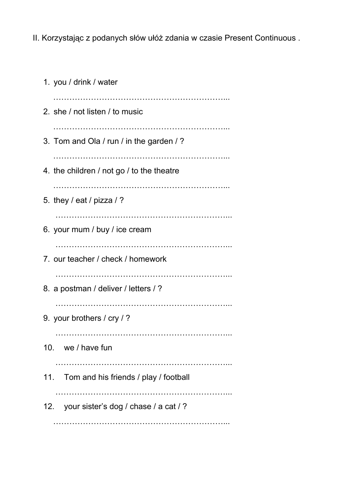II. Korzystając z podanych słów ułóż zdania w czasie Present Continuous .

| 1. you / drink / water                    |
|-------------------------------------------|
| 2. she / not listen / to music            |
| 3. Tom and Ola / run / in the garden / ?  |
| 4. the children / not go / to the theatre |
| 5. they / eat / pizza / ?                 |
| 6. your mum / buy / ice cream             |
| 7. our teacher / check / homework         |
| 8. a postman / deliver / letters / ?      |
| 9. your brothers / cry / ?                |
| 10. we / have fun                         |
| 11. Tom and his friends / play / football |
| 12. your sister's dog / chase / a cat / ? |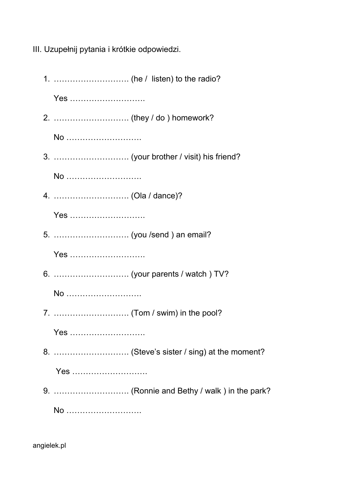III. Uzupełnij pytania i krótkie odpowiedzi.

1. ………………………. (he / listen) to the radio? Yes ………………………. 2. ………………………. (they / do ) homework? No ………………………. 3. ………………………. (your brother / visit) his friend? No ………………………. 4. ………………………. (Ola / dance)? Yes ………………………. 5. ………………………. (you /send ) an email? Yes ………………………. 6. ………………………. (your parents / watch ) TV? No ………………………. 7. ………………………. (Tom / swim) in the pool? Yes ………………………. 8. ………………………. (Steve's sister / sing) at the moment? Yes ………………………. 9. ………………………. (Ronnie and Bethy / walk ) in the park? No ……………………….

angielek.pl